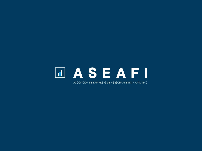## **LASEAFI**

ASOCIACIÓN DE EMPRESAS DE ASESORAMIENTO FINANCIERO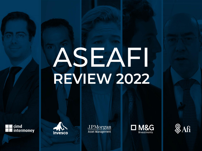# ASEAFI **REVIEW 2022**









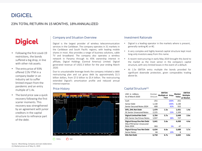### DIGICEL

#### 23% TOTAL RETURN IN 15 MONTHS, 18%ANNUALIZED

## **Digicel**

- Following the first covid-19 restrictions, the bonds suffered a big drop, in line with other risk assets.
- The entry price of 93% offered 11% YTM in a company leader in an industry set to suffer limited impact from the pandemic and an entry multiple of 1.4x.
- The bond price saw a quick recovery following the first scarier moments. This recovery was strengthened by an agreement with junior creditors in the capital structure to refinance part of the debt.

#### Company and Situation Overview Investment Rationale

Digicel is the largest provider of wireless telecommunication services in the Caribbean. The company operates in 31 markets in the Caribbean and South Pacific regions, with leading mobile shares in most. Also provides a range of business solutions, cable TV and broadband. The company also operates a wireless network in Panama through its 45% ownership interest in affiliate, Digicel Holdings (Central America) Limited. Digicel generated revenue of USD2.3 billion for the year ending March 2020.

Due to unsustainable leverage levels the company initiated a debt restructuring plan and cut gross debt by approximately \$1.5 billion dollars, from \$7.0 billion to \$5.4 billion. The restructuring extended Digicel's amortization profile and reduced annual interest expense.

#### Price History



- Digicel is a leading operator in the markets where is present, generally ranking #1 or #2.
- A very complex and highly levered capital structure kept most long-only investors away from this name.
- A recent restructuring in early May 2019 brought this bond to the market as the most senior in the company's capital structure, with very limited losses in the event of a default.
- At 1.5x EBITDA entry multiple the bonds provided for significant downside protection, given comparables trading above 6x.

#### Capital Structure(1)

| USD in millions<br>As of March 2020                            | Outstan.<br>Amount | <b>EBITDA</b><br><b>Multiple at</b><br>Face | Price | <b>Market</b><br>Value | <b>EBITDA</b><br><b>Multiple</b><br>at Market |
|----------------------------------------------------------------|--------------------|---------------------------------------------|-------|------------------------|-----------------------------------------------|
| Cash                                                           | $-251$             |                                             | 100%  | $-251$                 |                                               |
| Senior Debt                                                    | 1,130              |                                             | 100%  | 1,130                  |                                               |
| Senior Secured Notes 2024                                      | 600                |                                             | 92%   | 552                    |                                               |
| DIFL, DHL Net Debt                                             | 1.479              | 1.5x                                        |       | 1,431                  | 1.4x                                          |
| DL Senior Unsecured Notes                                      | 2,225              |                                             | 53%   | 1,169                  |                                               |
| <b>Digicel Limited Net Debt</b>                                | 3,704              | 3.7x                                        |       | 2,648                  | 2.6x                                          |
| <b>DGL Senior Sec/Unsec Notes</b>                              | 1,937              |                                             | 38%   | 727                    |                                               |
| <b>Digicel Group One Net Debt</b><br>DGL2 PIK Senior Unsecured | 5.641              | 5.6x                                        |       | 4.430                  | 4.4x                                          |
| Note 2024                                                      | 993                |                                             | 5%    | 47                     |                                               |
| Digicel Group Two Net Debt                                     | 6,634              | 6.6x                                        |       | 5,688                  | 5.7x                                          |
| <b>Senior Notes</b>                                            | 84                 |                                             | 10%   | 8                      |                                               |
| <b>DGL Net Debt</b>                                            | 6.718              | 6.7x                                        |       | 6.642                  | 6.6x                                          |